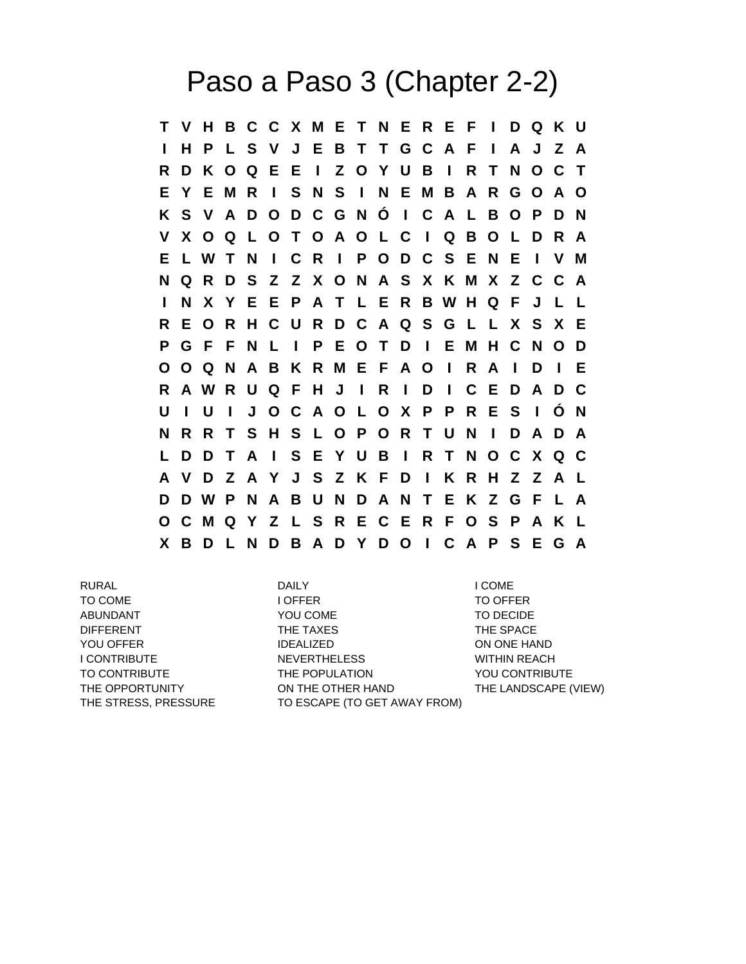## Paso a Paso 3 (Chapter 2-2)

**T V H B C C X M E T N E R E F I D Q K U I H P L S V J E B T T G C A F I A J Z A R D K O Q E E I Z O Y U B I R T N O C T E Y E M R I S N S I N E M B A R G O A O K S V A D O D C G N Ó I C A L B O P D N V X O Q L O T O A O L C I Q B O L D R A E L W T N I C R I P O D C S E N E I V M N Q R D S Z Z X O N A S X K M X Z C C A I N X Y E E P A T L E R B W H Q F J L L R E O R H C U R D C A Q S G L L X S X E P G F F N L I P E O T D I E M H C N O D O O Q N A B K R M E F A O I R A I D I E R A W R U Q F H J I R I D I C E D A D C U I U I J O C A O L O X P P R E S I Ó N N R R T S H S L O P O R T U N I D A D A L D D T A I S E Y U B I R T N O C X Q C A V D Z A Y J S Z K F D I K R H Z Z A L D D W P N A B U N D A N T E K Z G F L A O C M Q Y Z L S R E C E R F O S P A K L X B D L N D B A D Y D O I C A P S E G A**

RURAL DAILY I COME TO COME **I OFFER** TO OFFER ABUNDANT TO DECIDE YOU COME TO DECIDE DIFFERENT THE TAXES THE SPACE YOU OFFER THE IDEALIZED TO A RESERVE THE ON ONE HAND I CONTRIBUTE THE NEVERTHELESS WITHIN REACH TO CONTRIBUTE THE POPULATION YOU CONTRIBUTE THE OPPORTUNITY **ON THE OTHER HAND** THE LANDSCAPE (VIEW) THE STRESS, PRESSURE TO ESCAPE (TO GET AWAY FROM)